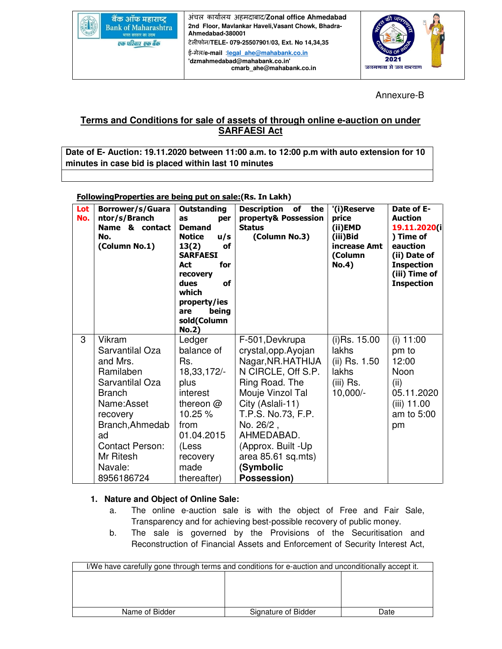

Annexure-B

# **Terms and Conditions for sale of assets of through online e-auction on under SARFAESI Act**

**Date of E- Auction: 19.11.2020 between 11:00 a.m. to 12:00 p.m with auto extension for 10 minutes in case bid is placed within last 10 minutes**

| Lot<br>No. | <b>Borrower/s/Guara</b><br>ntor/s/Branch<br>Name & contact<br>No.<br>(Column No.1)                                                                                                                        | <b>Outstanding</b><br>as<br>per<br><b>Demand</b><br><b>Notice</b><br>u/s<br>13(2)<br>οf<br><b>SARFAESI</b><br>for<br>Act<br>recovery<br>dues<br>οf<br>which<br>property/ies<br>being<br>are<br>sold(Column<br><b>No.2)</b> | <b>Description</b><br>of the<br>property& Possession<br><b>Status</b><br>(Column No.3)                                                                                                                                                                                | '(i)Reserve<br>price<br>(ii)EMD<br>(iii)Bid<br>increase Amt<br>(Column<br><b>No.4)</b> | Date of E-<br><b>Auction</b><br>19.11.2020(i<br>) Time of<br>eauction<br>(ii) Date of<br><b>Inspection</b><br>(iii) Time of<br><b>Inspection</b> |
|------------|-----------------------------------------------------------------------------------------------------------------------------------------------------------------------------------------------------------|----------------------------------------------------------------------------------------------------------------------------------------------------------------------------------------------------------------------------|-----------------------------------------------------------------------------------------------------------------------------------------------------------------------------------------------------------------------------------------------------------------------|----------------------------------------------------------------------------------------|--------------------------------------------------------------------------------------------------------------------------------------------------|
| 3          | Vikram<br>Sarvantilal Oza<br>and Mrs.<br>Ramilaben<br>Sarvantilal Oza<br><b>Branch</b><br>Name:Asset<br>recovery<br>Branch, Ahmedab<br>ad<br><b>Contact Person:</b><br>Mr Ritesh<br>Navale:<br>8956186724 | Ledger<br>balance of<br>Rs.<br>18, 33, 172/-<br>plus<br>interest<br>thereon $@$<br>10.25 %<br>from<br>01.04.2015<br>(Less<br>recovery<br>made<br>thereafter)                                                               | F-501, Devkrupa<br>crystal, opp. Ayojan<br>Nagar, NR.HATHIJA<br>N CIRCLE, Off S.P.<br>Ring Road. The<br>Mouje Vinzol Tal<br>City (Aslali-11)<br>T.P.S. No.73, F.P.<br>No. 26/2,<br>AHMEDABAD.<br>(Approx. Built -Up<br>area 85.61 sq.mts)<br>(Symbolic<br>Possession) | $(i)$ Rs. 15.00<br>lakhs<br>(ii) Rs. 1.50<br>lakhs<br>$(iii)$ Rs.<br>$10,000/-$        | (i) 11:00<br>pm to<br>12:00<br>Noon<br>(ii)<br>05.11.2020<br>$(iii)$ 11.00<br>am to 5:00<br>pm                                                   |

FollowingProperties are being put on sale:(Rs. In Lakh)

# **1. Nature and Object of Online Sale:**

- a. The online e-auction sale is with the object of Free and Fair Sale, Transparency and for achieving best-possible recovery of public money.
- b. The sale is governed by the Provisions of the Securitisation and Reconstruction of Financial Assets and Enforcement of Security Interest Act,

| I/We have carefully gone through terms and conditions for e-auction and unconditionally accept it. |                     |      |
|----------------------------------------------------------------------------------------------------|---------------------|------|
|                                                                                                    |                     |      |
|                                                                                                    |                     |      |
|                                                                                                    |                     |      |
|                                                                                                    |                     |      |
| Name of Bidder                                                                                     | Signature of Bidder | Date |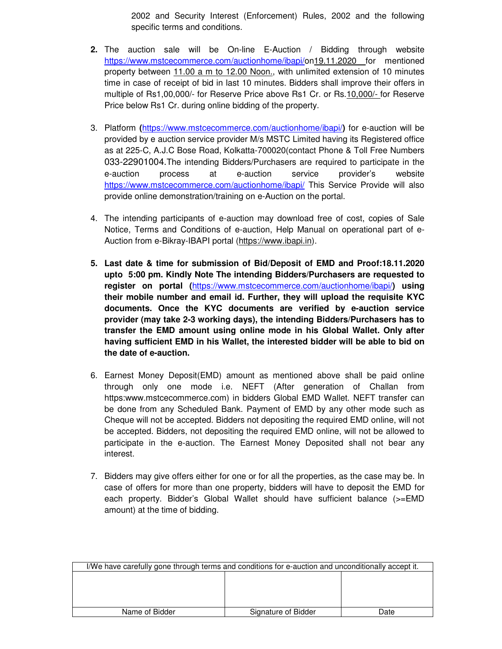2002 and Security Interest (Enforcement) Rules, 2002 and the following specific terms and conditions.

- **2.** The auction sale will be On-line E-Auction / Bidding through website https://www.mstcecommerce.com/auctionhome/ibapi/on19.11.2020 for mentioned property between 11.00 a m to 12.00 Noon., with unlimited extension of 10 minutes time in case of receipt of bid in last 10 minutes. Bidders shall improve their offers in multiple of Rs1,00,000/- for Reserve Price above Rs1 Cr. or Rs.10,000/- for Reserve Price below Rs1 Cr. during online bidding of the property.
- 3. Platform **(**https://www.mstcecommerce.com/auctionhome/ibapi/**)** for e-auction will be provided by e auction service provider M/s MSTC Limited having its Registered office as at 225-C, A.J.C Bose Road, Kolkatta-700020(contact Phone & Toll Free Numbers 033-22901004.The intending Bidders/Purchasers are required to participate in the e-auction process at e-auction service provider's website https://www.mstcecommerce.com/auctionhome/ibapi/ This Service Provide will also provide online demonstration/training on e-Auction on the portal.
- 4. The intending participants of e-auction may download free of cost, copies of Sale Notice, Terms and Conditions of e-auction, Help Manual on operational part of e-Auction from e-Bikray-IBAPI portal (https://www.ibapi.in).
- **5. Last date & time for submission of Bid/Deposit of EMD and Proof:18.11.2020 upto 5:00 pm. Kindly Note The intending Bidders/Purchasers are requested to register on portal (**https://www.mstcecommerce.com/auctionhome/ibapi/**) using their mobile number and email id. Further, they will upload the requisite KYC documents. Once the KYC documents are verified by e-auction service provider (may take 2-3 working days), the intending Bidders/Purchasers has to transfer the EMD amount using online mode in his Global Wallet. Only after having sufficient EMD in his Wallet, the interested bidder will be able to bid on the date of e-auction.**
- 6. Earnest Money Deposit(EMD) amount as mentioned above shall be paid online through only one mode i.e. NEFT (After generation of Challan from https:www.mstcecommerce.com) in bidders Global EMD Wallet. NEFT transfer can be done from any Scheduled Bank. Payment of EMD by any other mode such as Cheque will not be accepted. Bidders not depositing the required EMD online, will not be accepted. Bidders, not depositing the required EMD online, will not be allowed to participate in the e-auction. The Earnest Money Deposited shall not bear any interest.
- 7. Bidders may give offers either for one or for all the properties, as the case may be. In case of offers for more than one property, bidders will have to deposit the EMD for each property. Bidder's Global Wallet should have sufficient balance (>=EMD amount) at the time of bidding.

| I/We have carefully gone through terms and conditions for e-auction and unconditionally accept it. |                     |      |
|----------------------------------------------------------------------------------------------------|---------------------|------|
|                                                                                                    |                     |      |
|                                                                                                    |                     |      |
|                                                                                                    |                     |      |
|                                                                                                    |                     |      |
| Name of Bidder                                                                                     | Signature of Bidder | Date |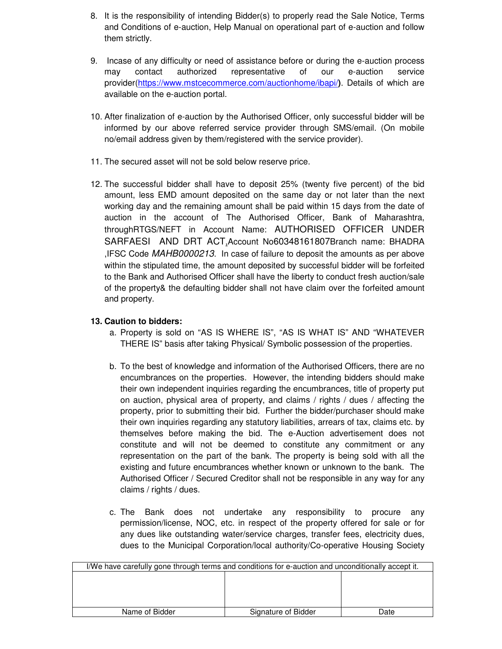- 8. It is the responsibility of intending Bidder(s) to properly read the Sale Notice, Terms and Conditions of e-auction, Help Manual on operational part of e-auction and follow them strictly.
- 9. Incase of any difficulty or need of assistance before or during the e-auction process may contact authorized representative of our e-auction service provider(https://www.mstcecommerce.com/auctionhome/ibapi/**)**. Details of which are available on the e-auction portal.
- 10. After finalization of e-auction by the Authorised Officer, only successful bidder will be informed by our above referred service provider through SMS/email. (On mobile no/email address given by them/registered with the service provider).
- 11. The secured asset will not be sold below reserve price.
- 12. The successful bidder shall have to deposit 25% (twenty five percent) of the bid amount, less EMD amount deposited on the same day or not later than the next working day and the remaining amount shall be paid within 15 days from the date of auction in the account of The Authorised Officer, Bank of Maharashtra, throughRTGS/NEFT in Account Name: AUTHORISED OFFICER UNDER SARFAESI AND DRT ACT,Account No60348161807Branch name: BHADRA ,IFSC Code MAHB0000213. In case of failure to deposit the amounts as per above within the stipulated time, the amount deposited by successful bidder will be forfeited to the Bank and Authorised Officer shall have the liberty to conduct fresh auction/sale of the property& the defaulting bidder shall not have claim over the forfeited amount and property.

### **13. Caution to bidders:**

- a. Property is sold on "AS IS WHERE IS", "AS IS WHAT IS" AND "WHATEVER THERE IS" basis after taking Physical/ Symbolic possession of the properties.
- b. To the best of knowledge and information of the Authorised Officers, there are no encumbrances on the properties. However, the intending bidders should make their own independent inquiries regarding the encumbrances, title of property put on auction, physical area of property, and claims / rights / dues / affecting the property, prior to submitting their bid. Further the bidder/purchaser should make their own inquiries regarding any statutory liabilities, arrears of tax, claims etc. by themselves before making the bid. The e-Auction advertisement does not constitute and will not be deemed to constitute any commitment or any representation on the part of the bank. The property is being sold with all the existing and future encumbrances whether known or unknown to the bank. The Authorised Officer / Secured Creditor shall not be responsible in any way for any claims / rights / dues.
- c. The Bank does not undertake any responsibility to procure any permission/license, NOC, etc. in respect of the property offered for sale or for any dues like outstanding water/service charges, transfer fees, electricity dues, dues to the Municipal Corporation/local authority/Co-operative Housing Society

| I/We have carefully gone through terms and conditions for e-auction and unconditionally accept it. |                     |      |
|----------------------------------------------------------------------------------------------------|---------------------|------|
|                                                                                                    |                     |      |
|                                                                                                    |                     |      |
|                                                                                                    |                     |      |
|                                                                                                    |                     |      |
| Name of Bidder                                                                                     | Signature of Bidder | Date |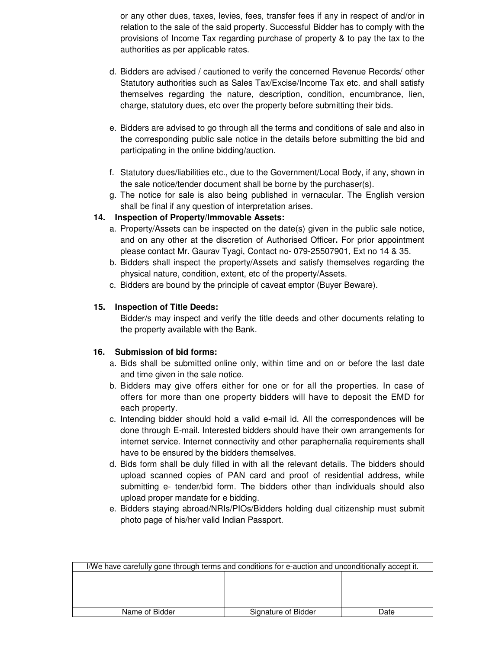or any other dues, taxes, levies, fees, transfer fees if any in respect of and/or in relation to the sale of the said property. Successful Bidder has to comply with the provisions of Income Tax regarding purchase of property & to pay the tax to the authorities as per applicable rates.

- d. Bidders are advised / cautioned to verify the concerned Revenue Records/ other Statutory authorities such as Sales Tax/Excise/Income Tax etc. and shall satisfy themselves regarding the nature, description, condition, encumbrance, lien, charge, statutory dues, etc over the property before submitting their bids.
- e. Bidders are advised to go through all the terms and conditions of sale and also in the corresponding public sale notice in the details before submitting the bid and participating in the online bidding/auction.
- f. Statutory dues/liabilities etc., due to the Government/Local Body, if any, shown in the sale notice/tender document shall be borne by the purchaser(s).
- g. The notice for sale is also being published in vernacular. The English version shall be final if any question of interpretation arises.

#### **14. Inspection of Property/Immovable Assets:**

- a. Property/Assets can be inspected on the date(s) given in the public sale notice, and on any other at the discretion of Authorised Officer**.** For prior appointment please contact Mr. Gaurav Tyagi, Contact no- 079-25507901, Ext no 14 & 35.
- b. Bidders shall inspect the property/Assets and satisfy themselves regarding the physical nature, condition, extent, etc of the property/Assets.
- c. Bidders are bound by the principle of caveat emptor (Buyer Beware).

#### **15. Inspection of Title Deeds:**

Bidder/s may inspect and verify the title deeds and other documents relating to the property available with the Bank.

#### **16. Submission of bid forms:**

- a. Bids shall be submitted online only, within time and on or before the last date and time given in the sale notice.
- b. Bidders may give offers either for one or for all the properties. In case of offers for more than one property bidders will have to deposit the EMD for each property.
- c. Intending bidder should hold a valid e-mail id. All the correspondences will be done through E-mail. Interested bidders should have their own arrangements for internet service. Internet connectivity and other paraphernalia requirements shall have to be ensured by the bidders themselves.
- d. Bids form shall be duly filled in with all the relevant details. The bidders should upload scanned copies of PAN card and proof of residential address, while submitting e- tender/bid form. The bidders other than individuals should also upload proper mandate for e bidding.
- e. Bidders staying abroad/NRIs/PIOs/Bidders holding dual citizenship must submit photo page of his/her valid Indian Passport.

| I/We have carefully gone through terms and conditions for e-auction and unconditionally accept it. |                     |      |  |
|----------------------------------------------------------------------------------------------------|---------------------|------|--|
|                                                                                                    |                     |      |  |
|                                                                                                    |                     |      |  |
|                                                                                                    |                     |      |  |
|                                                                                                    |                     |      |  |
| Name of Bidder                                                                                     | Signature of Bidder | Date |  |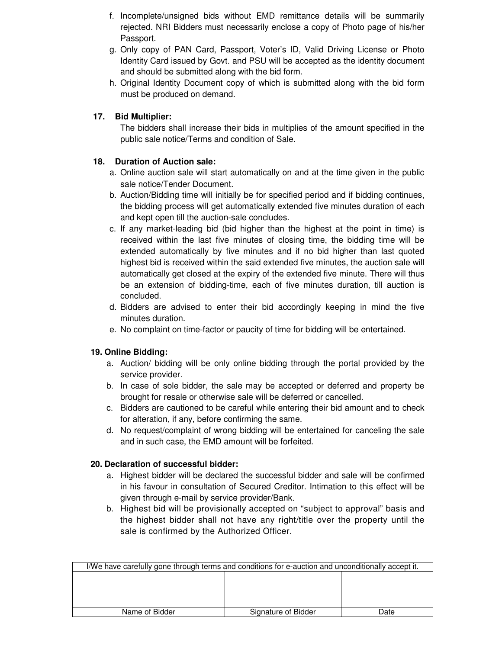- f. Incomplete/unsigned bids without EMD remittance details will be summarily rejected. NRI Bidders must necessarily enclose a copy of Photo page of his/her Passport.
- g. Only copy of PAN Card, Passport, Voter's ID, Valid Driving License or Photo Identity Card issued by Govt. and PSU will be accepted as the identity document and should be submitted along with the bid form.
- h. Original Identity Document copy of which is submitted along with the bid form must be produced on demand.

# **17. Bid Multiplier:**

The bidders shall increase their bids in multiplies of the amount specified in the public sale notice/Terms and condition of Sale.

# **18. Duration of Auction sale:**

- a. Online auction sale will start automatically on and at the time given in the public sale notice/Tender Document.
- b. Auction/Bidding time will initially be for specified period and if bidding continues, the bidding process will get automatically extended five minutes duration of each and kept open till the auction-sale concludes.
- c. If any market-leading bid (bid higher than the highest at the point in time) is received within the last five minutes of closing time, the bidding time will be extended automatically by five minutes and if no bid higher than last quoted highest bid is received within the said extended five minutes, the auction sale will automatically get closed at the expiry of the extended five minute. There will thus be an extension of bidding-time, each of five minutes duration, till auction is concluded.
- d. Bidders are advised to enter their bid accordingly keeping in mind the five minutes duration.
- e. No complaint on time-factor or paucity of time for bidding will be entertained.

# **19. Online Bidding:**

- a. Auction/ bidding will be only online bidding through the portal provided by the service provider.
- b. In case of sole bidder, the sale may be accepted or deferred and property be brought for resale or otherwise sale will be deferred or cancelled.
- c. Bidders are cautioned to be careful while entering their bid amount and to check for alteration, if any, before confirming the same.
- d. No request/complaint of wrong bidding will be entertained for canceling the sale and in such case, the EMD amount will be forfeited.

# **20. Declaration of successful bidder:**

- a. Highest bidder will be declared the successful bidder and sale will be confirmed in his favour in consultation of Secured Creditor. Intimation to this effect will be given through e-mail by service provider/Bank.
- b. Highest bid will be provisionally accepted on "subject to approval" basis and the highest bidder shall not have any right/title over the property until the sale is confirmed by the Authorized Officer.

| I/We have carefully gone through terms and conditions for e-auction and unconditionally accept it. |                     |      |  |
|----------------------------------------------------------------------------------------------------|---------------------|------|--|
|                                                                                                    |                     |      |  |
|                                                                                                    |                     |      |  |
|                                                                                                    |                     |      |  |
|                                                                                                    |                     |      |  |
| Name of Bidder                                                                                     | Signature of Bidder | Date |  |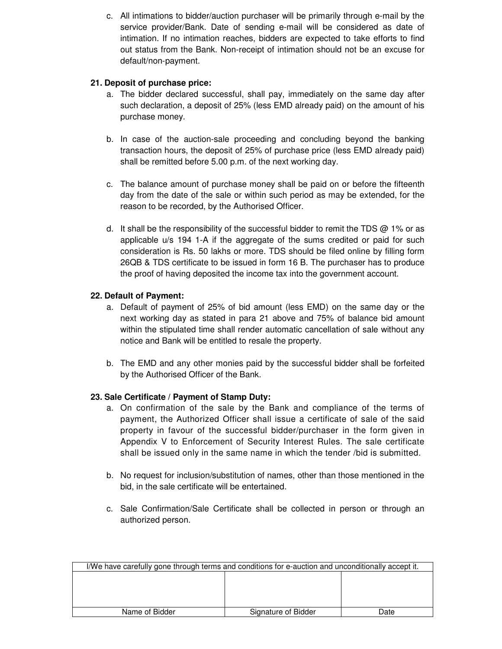c. All intimations to bidder/auction purchaser will be primarily through e-mail by the service provider/Bank. Date of sending e-mail will be considered as date of intimation. If no intimation reaches, bidders are expected to take efforts to find out status from the Bank. Non-receipt of intimation should not be an excuse for default/non-payment.

# **21. Deposit of purchase price:**

- a. The bidder declared successful, shall pay, immediately on the same day after such declaration, a deposit of 25% (less EMD already paid) on the amount of his purchase money.
- b. In case of the auction-sale proceeding and concluding beyond the banking transaction hours, the deposit of 25% of purchase price (less EMD already paid) shall be remitted before 5.00 p.m. of the next working day.
- c. The balance amount of purchase money shall be paid on or before the fifteenth day from the date of the sale or within such period as may be extended, for the reason to be recorded, by the Authorised Officer.
- d. It shall be the responsibility of the successful bidder to remit the TDS  $@$  1% or as applicable u/s 194 1-A if the aggregate of the sums credited or paid for such consideration is Rs. 50 lakhs or more. TDS should be filed online by filling form 26QB & TDS certificate to be issued in form 16 B. The purchaser has to produce the proof of having deposited the income tax into the government account.

# **22. Default of Payment:**

- a. Default of payment of 25% of bid amount (less EMD) on the same day or the next working day as stated in para 21 above and 75% of balance bid amount within the stipulated time shall render automatic cancellation of sale without any notice and Bank will be entitled to resale the property.
- b. The EMD and any other monies paid by the successful bidder shall be forfeited by the Authorised Officer of the Bank.

# **23. Sale Certificate / Payment of Stamp Duty:**

- a. On confirmation of the sale by the Bank and compliance of the terms of payment, the Authorized Officer shall issue a certificate of sale of the said property in favour of the successful bidder/purchaser in the form given in Appendix V to Enforcement of Security Interest Rules. The sale certificate shall be issued only in the same name in which the tender /bid is submitted.
- b. No request for inclusion/substitution of names, other than those mentioned in the bid, in the sale certificate will be entertained.
- c. Sale Confirmation/Sale Certificate shall be collected in person or through an authorized person.

| I/We have carefully gone through terms and conditions for e-auction and unconditionally accept it. |                     |      |
|----------------------------------------------------------------------------------------------------|---------------------|------|
|                                                                                                    |                     |      |
|                                                                                                    |                     |      |
|                                                                                                    |                     |      |
|                                                                                                    |                     |      |
| Name of Bidder                                                                                     | Signature of Bidder | Date |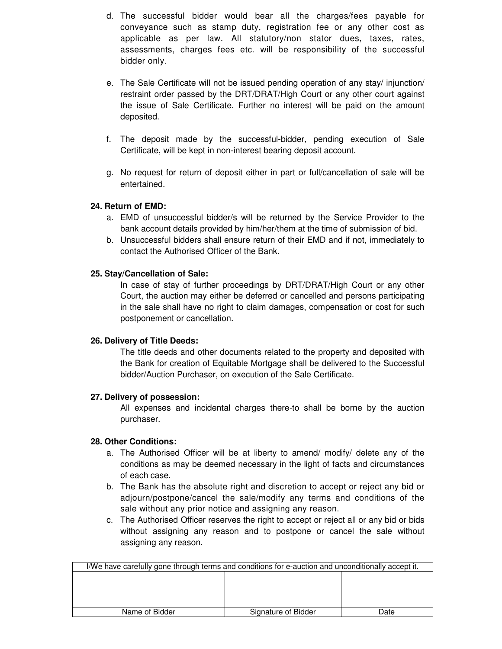- d. The successful bidder would bear all the charges/fees payable for conveyance such as stamp duty, registration fee or any other cost as applicable as per law. All statutory/non stator dues, taxes, rates, assessments, charges fees etc. will be responsibility of the successful bidder only.
- e. The Sale Certificate will not be issued pending operation of any stay/ injunction/ restraint order passed by the DRT/DRAT/High Court or any other court against the issue of Sale Certificate. Further no interest will be paid on the amount deposited.
- f. The deposit made by the successful-bidder, pending execution of Sale Certificate, will be kept in non-interest bearing deposit account.
- g. No request for return of deposit either in part or full/cancellation of sale will be entertained.

#### **24. Return of EMD:**

- a. EMD of unsuccessful bidder/s will be returned by the Service Provider to the bank account details provided by him/her/them at the time of submission of bid.
- b. Unsuccessful bidders shall ensure return of their EMD and if not, immediately to contact the Authorised Officer of the Bank.

#### **25. Stay/Cancellation of Sale:**

In case of stay of further proceedings by DRT/DRAT/High Court or any other Court, the auction may either be deferred or cancelled and persons participating in the sale shall have no right to claim damages, compensation or cost for such postponement or cancellation.

#### **26. Delivery of Title Deeds:**

The title deeds and other documents related to the property and deposited with the Bank for creation of Equitable Mortgage shall be delivered to the Successful bidder/Auction Purchaser, on execution of the Sale Certificate.

#### **27. Delivery of possession:**

All expenses and incidental charges there-to shall be borne by the auction purchaser.

#### **28. Other Conditions:**

- a. The Authorised Officer will be at liberty to amend/ modify/ delete any of the conditions as may be deemed necessary in the light of facts and circumstances of each case.
- b. The Bank has the absolute right and discretion to accept or reject any bid or adjourn/postpone/cancel the sale/modify any terms and conditions of the sale without any prior notice and assigning any reason.
- c. The Authorised Officer reserves the right to accept or reject all or any bid or bids without assigning any reason and to postpone or cancel the sale without assigning any reason.

| I/We have carefully gone through terms and conditions for e-auction and unconditionally accept it. |                     |      |
|----------------------------------------------------------------------------------------------------|---------------------|------|
|                                                                                                    |                     |      |
|                                                                                                    |                     |      |
|                                                                                                    |                     |      |
|                                                                                                    |                     |      |
| Name of Bidder                                                                                     | Signature of Bidder | Date |